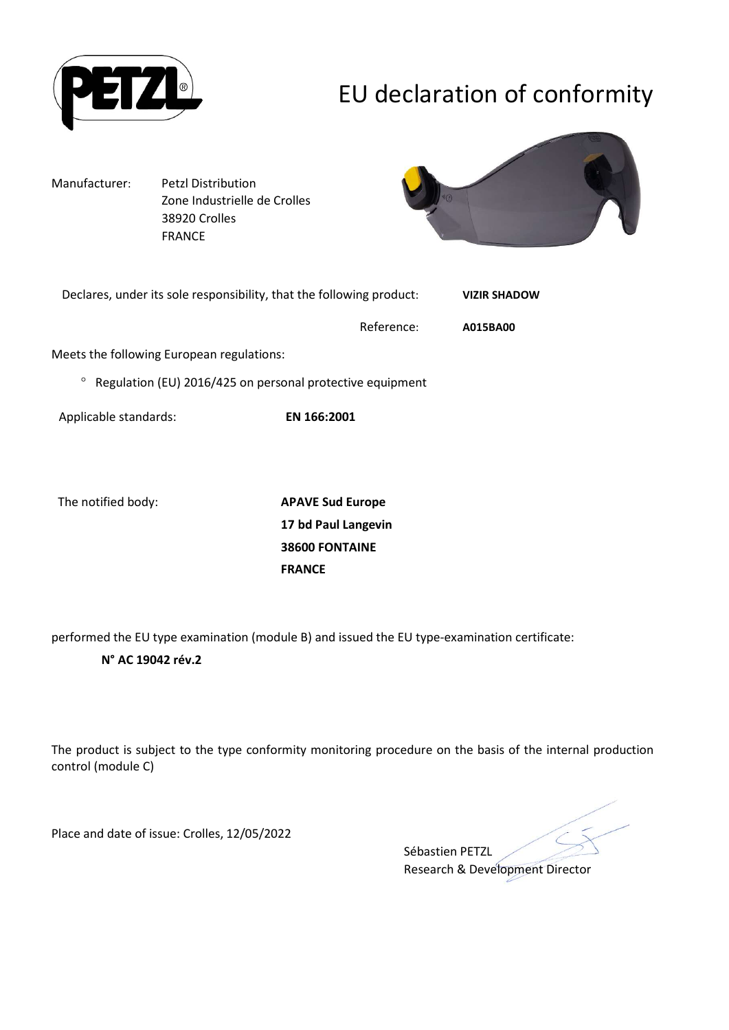

# EU declaration of conformity

Manufacturer: Petzl Distribution Zone Industrielle de Crolles 38920 Crolles FRANCE



| Declares, under its sole responsibility, that the following product: |            | <b>VIZIR SHADOW</b> |
|----------------------------------------------------------------------|------------|---------------------|
|                                                                      | Reference: | A015BA00            |
| Meets the following European regulations:                            |            |                     |
| Regulation (EU) 2016/425 on personal protective equipment<br>$\circ$ |            |                     |
|                                                                      |            |                     |

Applicable standards: EN 166:2001

The notified body: **APAVE Sud Europe** 17 bd Paul Langevin 38600 FONTAINE FRANCE

performed the EU type examination (module B) and issued the EU type-examination certificate:

### N° AC 19042 rév.2

The product is subject to the type conformity monitoring procedure on the basis of the internal production control (module C)

Place and date of issue: Crolles, 12/05/2022

Sébastien PETZL Research & Development Director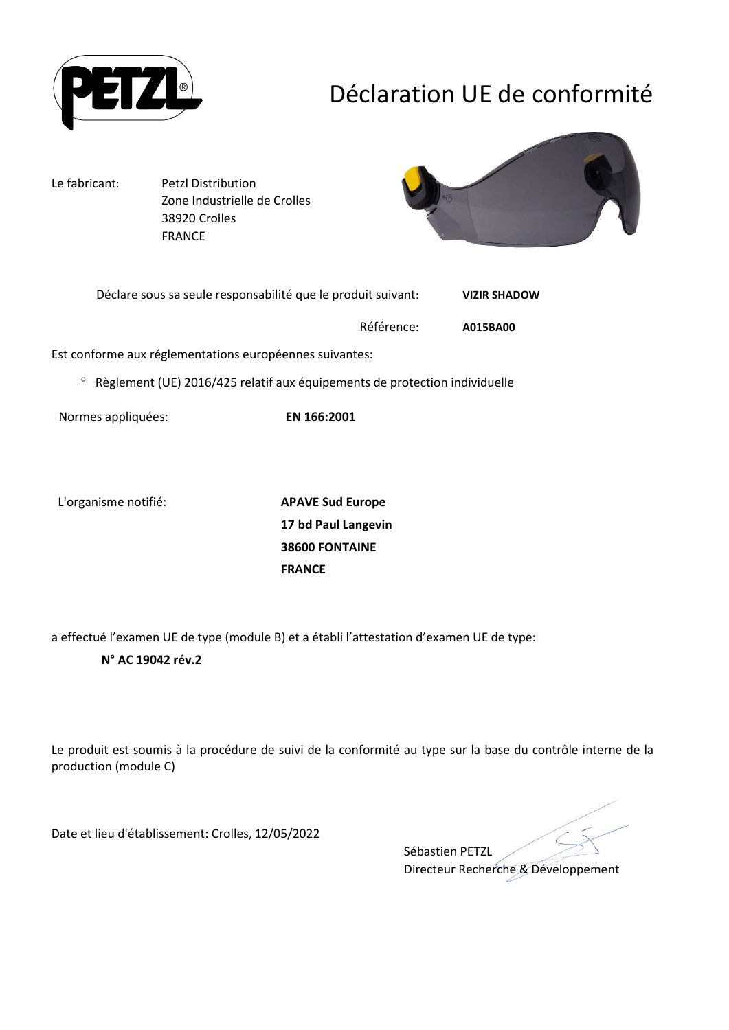

## Déclaration UE de conformité

Le fabricant: Petzl Distribution Zone Industrielle de Crolles 38920 Crolles FRANCE



| Déclare sous sa seule responsabilité que le produit suivant: | <b>VIZIR SHADOW</b> |
|--------------------------------------------------------------|---------------------|
| Référence:                                                   | A015BA00            |

Est conforme aux réglementations européennes suivantes:

Règlement (UE) 2016/425 relatif aux équipements de protection individuelle

Normes appliquées: EN 166:2001

L'organisme notifié: APAVE Sud Europe

17 bd Paul Langevin 38600 FONTAINE FRANCE

a effectué l'examen UE de type (module B) et a établi l'attestation d'examen UE de type:

#### N° AC 19042 rév.2

Le produit est soumis à la procédure de suivi de la conformité au type sur la base du contrôle interne de la production (module C)

Date et lieu d'établissement: Crolles, 12/05/2022

Sébastien PETZL Directeur Recherche & Développement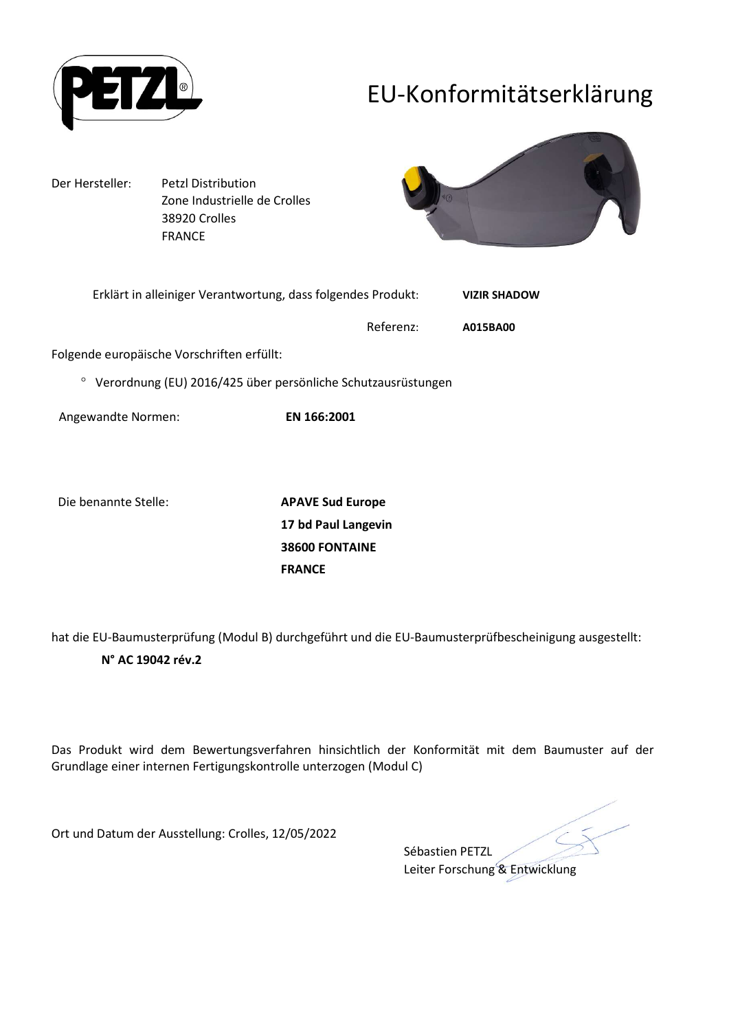

## EU-Konformitätserklärung

Der Hersteller: Petzl Distribution Zone Industrielle de Crolles 38920 Crolles FRANCE



| Erklärt in alleiniger Verantwortung, dass folgendes Produkt: | <b>VIZIR SHADOW</b> |
|--------------------------------------------------------------|---------------------|
| Referenz:                                                    | A015BA00            |
| Folgende europäische Vorschriften erfüllt:                   |                     |

Verordnung (EU) 2016/425 über persönliche Schutzausrüstungen

Angewandte Normen: EN 166:2001

Die benannte Stelle: APAVE Sud Europe

17 bd Paul Langevin 38600 FONTAINE FRANCE

hat die EU-Baumusterprüfung (Modul B) durchgeführt und die EU-Baumusterprüfbescheinigung ausgestellt:

### N° AC 19042 rév.2

Das Produkt wird dem Bewertungsverfahren hinsichtlich der Konformität mit dem Baumuster auf der Grundlage einer internen Fertigungskontrolle unterzogen (Modul C)

Ort und Datum der Ausstellung: Crolles, 12/05/2022

Sébastien PETZL Leiter Forschung & Entwicklung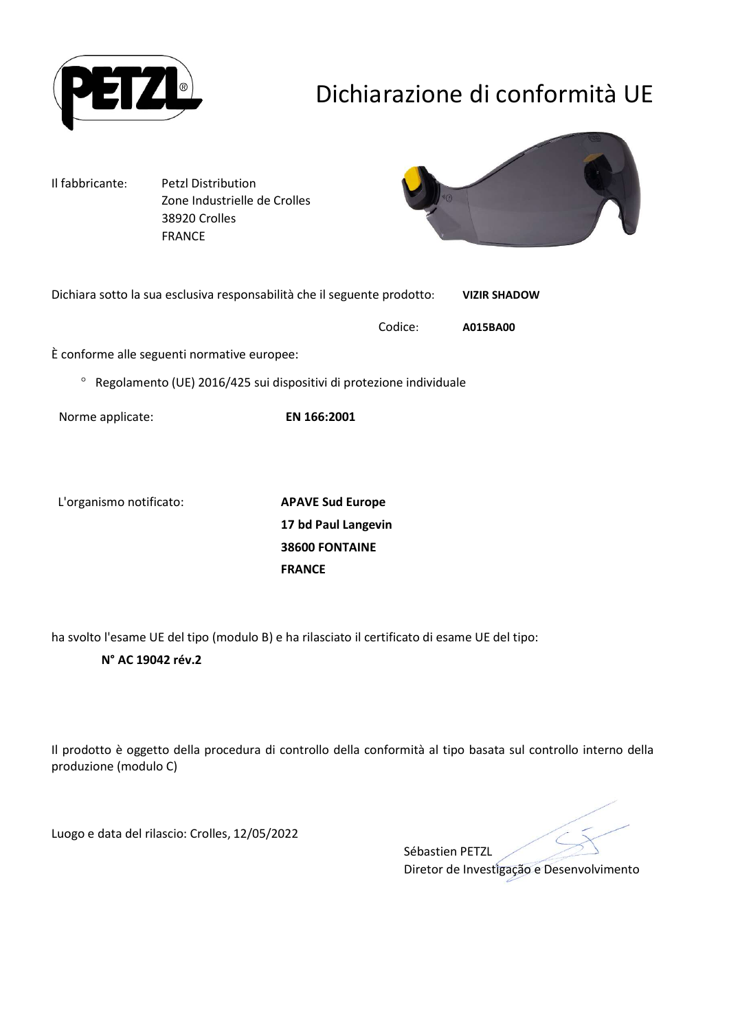

# Dichiarazione di conformità UE

Il fabbricante: Petzl Distribution Zone Industrielle de Crolles 38920 Crolles FRANCE



| Dichiara sotto la sua esclusiva responsabilità che il seguente prodotto: |         | <b>VIZIR SHADOW</b> |  |
|--------------------------------------------------------------------------|---------|---------------------|--|
|                                                                          | Codice: | A015BA00            |  |
| È conforme alle seguenti normative europee:                              |         |                     |  |

 $\degree$  Regolamento (UE) 2016/425 sui dispositivi di protezione individuale

Norme applicate: EN 166:2001

L'organismo notificato: APAVE Sud Europe

17 bd Paul Langevin 38600 FONTAINE FRANCE

ha svolto l'esame UE del tipo (modulo B) e ha rilasciato il certificato di esame UE del tipo:

### N° AC 19042 rév.2

Il prodotto è oggetto della procedura di controllo della conformità al tipo basata sul controllo interno della produzione (modulo C)

Luogo e data del rilascio: Crolles, 12/05/2022

Sébastien PETZL Diretor de Investigação e Desenvolvimento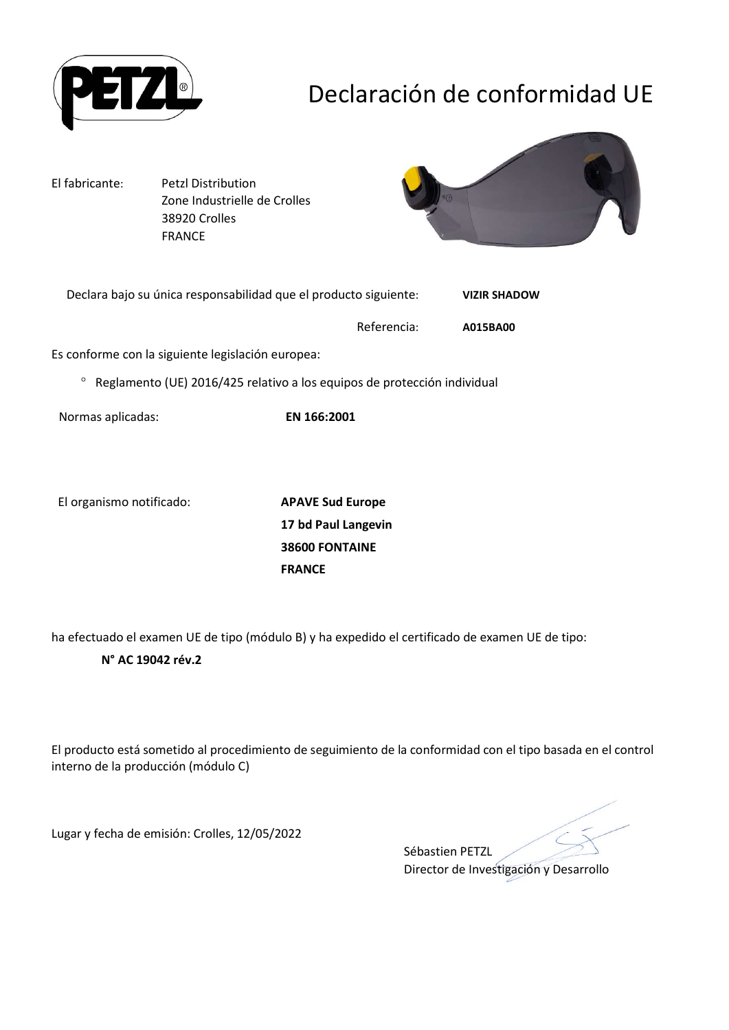

# Declaración de conformidad UE

El fabricante: Petzl Distribution Zone Industrielle de Crolles 38920 Crolles FRANCE



| Declara bajo su única responsabilidad que el producto siguiente: | <b>VIZIR SHADOW</b> |
|------------------------------------------------------------------|---------------------|
|                                                                  |                     |

Referencia: A015BA00

Es conforme con la siguiente legislación europea:

 $\degree$  Reglamento (UE) 2016/425 relativo a los equipos de protección individual

Normas aplicadas: EN 166:2001

El organismo notificado: APAVE Sud Europe

17 bd Paul Langevin 38600 FONTAINE FRANCE

ha efectuado el examen UE de tipo (módulo B) y ha expedido el certificado de examen UE de tipo:

### N° AC 19042 rév.2

El producto está sometido al procedimiento de seguimiento de la conformidad con el tipo basada en el control interno de la producción (módulo C)

Lugar y fecha de emisión: Crolles, 12/05/2022

Sébastien PETZL Director de Investigación y Desarrollo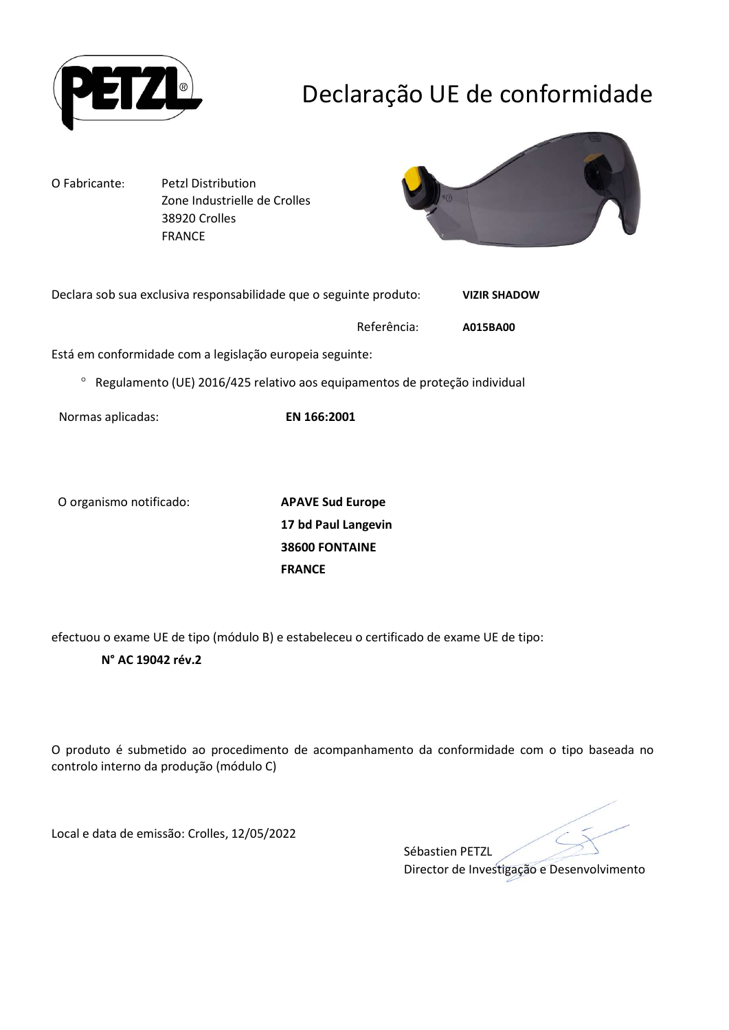

## Declaração UE de conformidade

O Fabricante: Petzl Distribution Zone Industrielle de Crolles 38920 Crolles FRANCE



| Declara sob sua exclusiva responsabilidade que o seguinte produto: | <b>VIZIR SHADOW</b> |
|--------------------------------------------------------------------|---------------------|
|                                                                    |                     |

Referência: A015BA00

Está em conformidade com a legislação europeia seguinte:

Regulamento (UE) 2016/425 relativo aos equipamentos de proteção individual

Normas aplicadas: EN 166:2001

O organismo notificado: APAVE Sud Europe

17 bd Paul Langevin 38600 FONTAINE FRANCE

efectuou o exame UE de tipo (módulo B) e estabeleceu o certificado de exame UE de tipo:

### N° AC 19042 rév.2

O produto é submetido ao procedimento de acompanhamento da conformidade com o tipo baseada no controlo interno da produção (módulo C)

Local e data de emissão: Crolles, 12/05/2022

Sébastien PETZL Director de Investigação e Desenvolvimento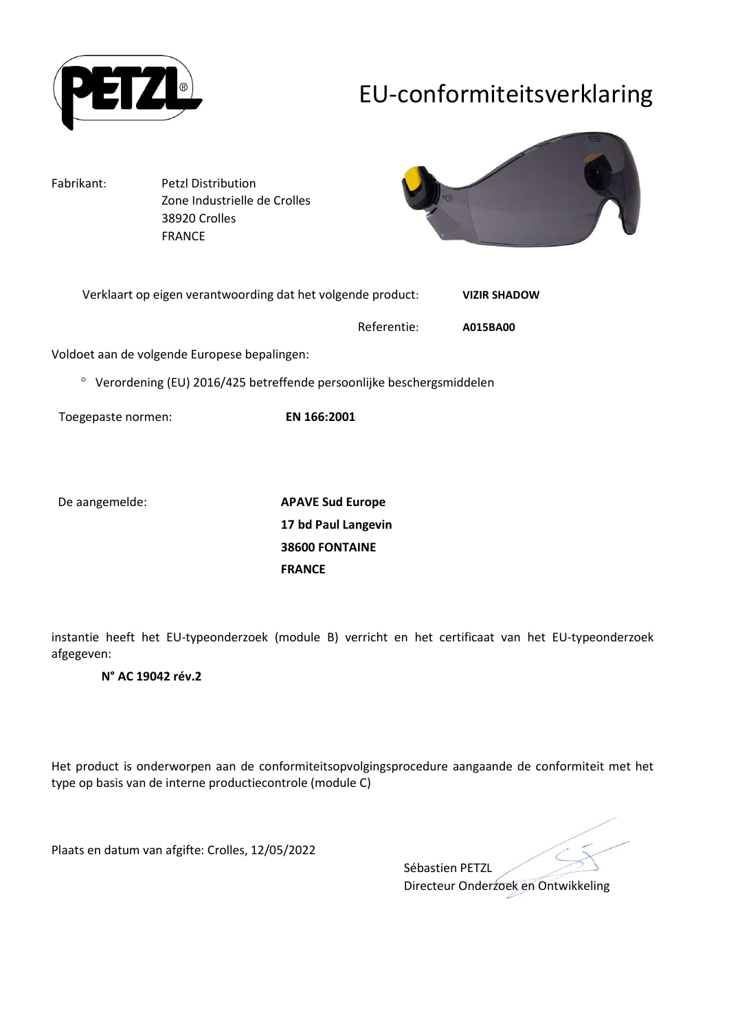

## EU-conformiteitsverklaring

Fabrikant: Petzl Distribution Zone Industrielle de Crolles 38920 Crolles FRANCE



| Verklaart op eigen verantwoording dat het volgende product: |             | <b>VIZIR SHADOW</b> |
|-------------------------------------------------------------|-------------|---------------------|
|                                                             | Referentie: | A015BA00            |

Voldoet aan de volgende Europese bepalingen:

Verordening (EU) 2016/425 betreffende persoonlijke beschergsmiddelen

Toegepaste normen: EN 166:2001

De aangemelde: APAVE Sud Europe 17 bd Paul Langevin 38600 FONTAINE FRANCE

instantie heeft het EU-typeonderzoek (module B) verricht en het certificaat van het EU-typeonderzoek afgegeven:

#### N° AC 19042 rév.2

Het product is onderworpen aan de conformiteitsopvolgingsprocedure aangaande de conformiteit met het type op basis van de interne productiecontrole (module C)

Plaats en datum van afgifte: Crolles, 12/05/2022

Sébastien PETZL Directeur Onderzoek en Ontwikkeling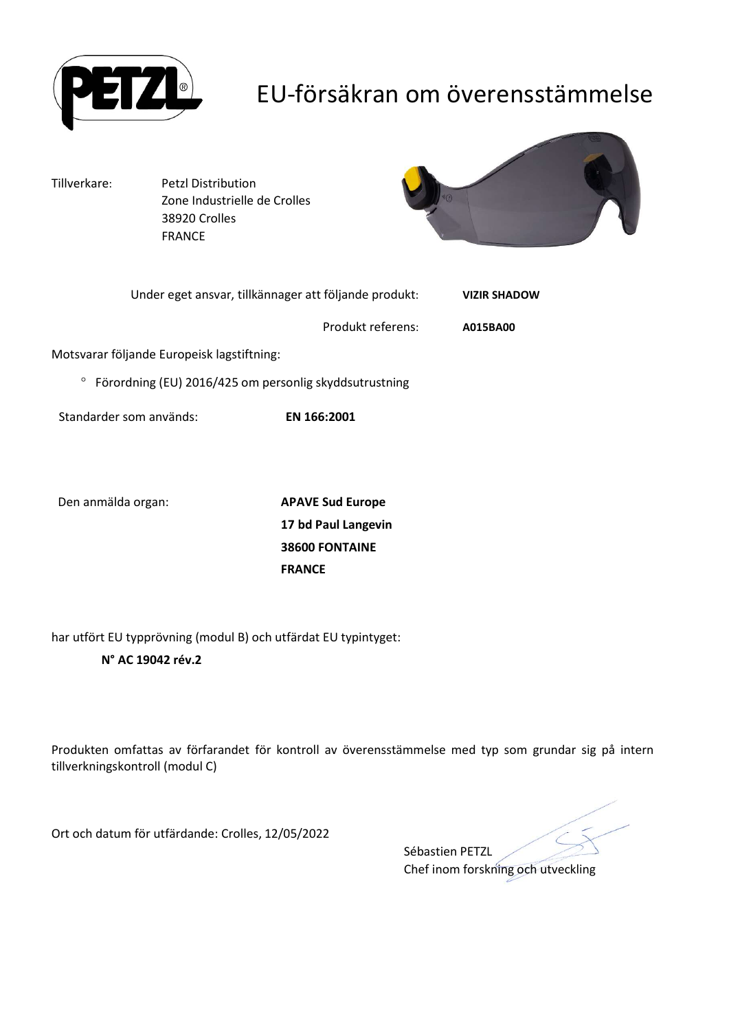

## EU-försäkran om överensstämmelse

Tillverkare: Petzl Distribution Zone Industrielle de Crolles 38920 Crolles FRANCE



| Under eget ansvar, tillkännager att följande produkt:  |                   | <b>VIZIR SHADOW</b> |
|--------------------------------------------------------|-------------------|---------------------|
|                                                        | Produkt referens: | A015BA00            |
| Motsvarar följande Europeisk lagstiftning:             |                   |                     |
| Förordning (EU) 2016/425 om personlig skyddsutrustning |                   |                     |

Standarder som används: EN 166:2001

Den anmälda organ: APAVE Sud Europe

17 bd Paul Langevin 38600 FONTAINE FRANCE

har utfört EU typprövning (modul B) och utfärdat EU typintyget:

### N° AC 19042 rév.2

Produkten omfattas av förfarandet för kontroll av överensstämmelse med typ som grundar sig på intern tillverkningskontroll (modul C)

Ort och datum för utfärdande: Crolles, 12/05/2022

Sébastien PETZL Chef inom forskning och utveckling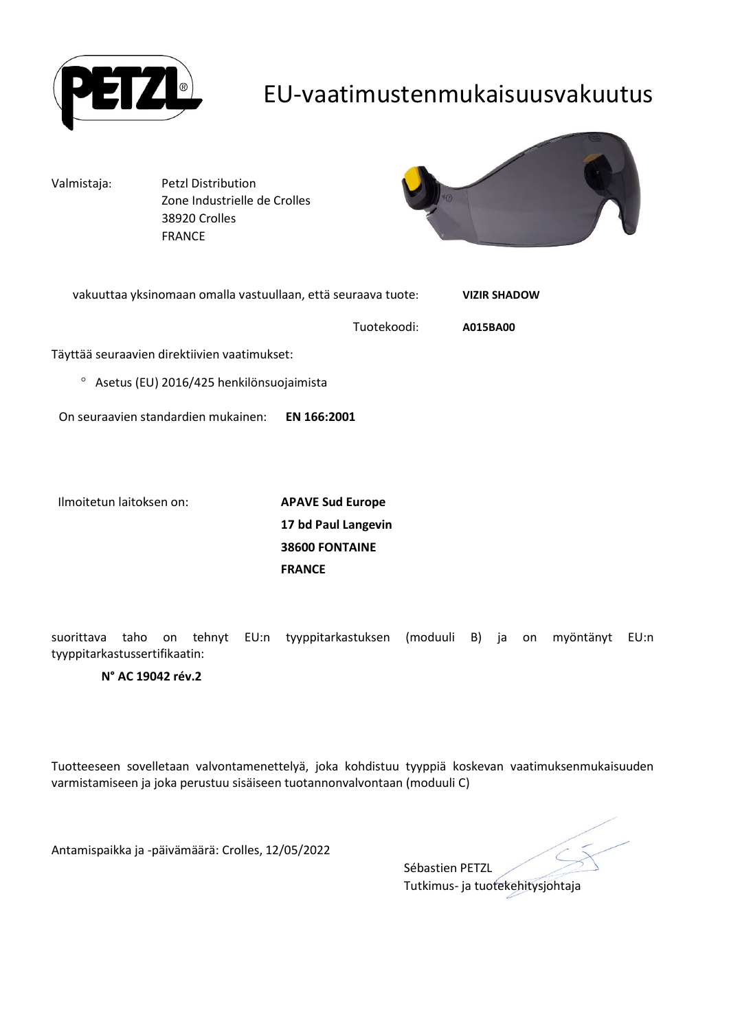

## EU-vaatimustenmukaisuusvakuutus

Valmistaja: Petzl Distribution Zone Industrielle de Crolles 38920 Crolles FRANCE



| vakuuttaa yksinomaan omalla vastuullaan, että seuraava tuote: |             | <b>VIZIR SHADOW</b> |
|---------------------------------------------------------------|-------------|---------------------|
|                                                               | Tuotekoodi: | A015BA00            |
| Täyttää seuraavien direktiivien vaatimukset:                  |             |                     |
| $\circ$<br>Asetus (EU) 2016/425 henkilönsuojaimista           |             |                     |
| On seuraavien standardien mukainen:                           | EN 166:2001 |                     |
|                                                               |             |                     |

Ilmoitetun laitoksen on: APAVE Sud Europe

17 bd Paul Langevin 38600 FONTAINE FRANCE

suorittava taho on tehnyt EU:n tyyppitarkastuksen (moduuli B) ja on myöntänyt EU:n tyyppitarkastussertifikaatin:

#### N° AC 19042 rév.2

Tuotteeseen sovelletaan valvontamenettelyä, joka kohdistuu tyyppiä koskevan vaatimuksenmukaisuuden varmistamiseen ja joka perustuu sisäiseen tuotannonvalvontaan (moduuli C)

Antamispaikka ja -päivämäärä: Crolles, 12/05/2022

Sébastien PETZL Tutkimus- ja tuotekehitysjohtaja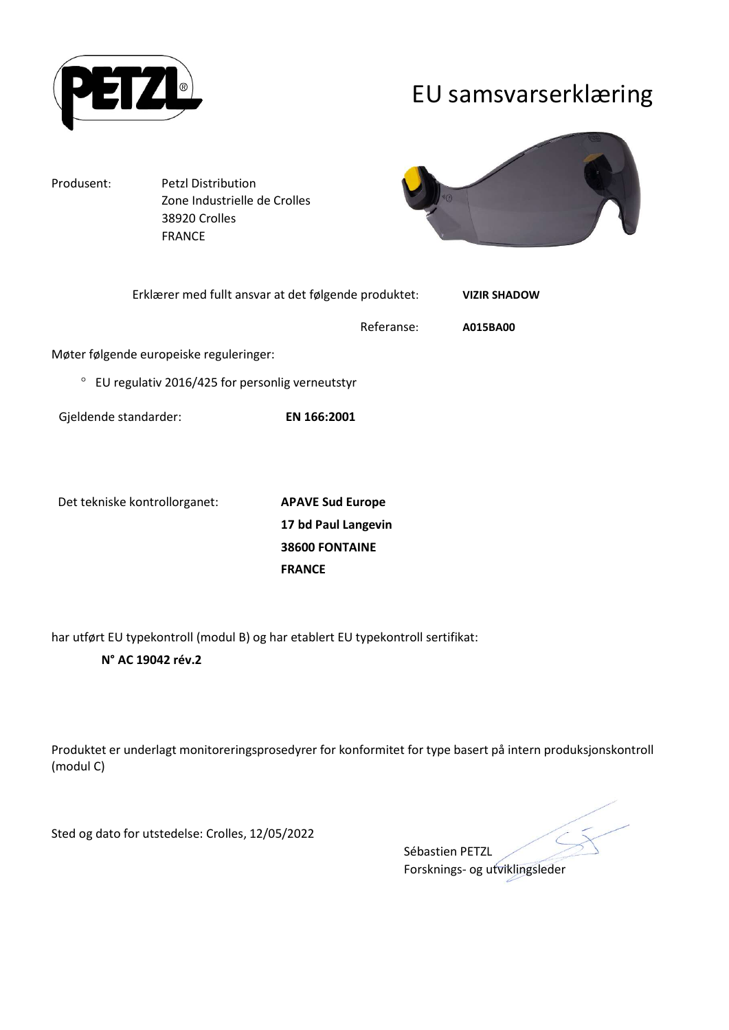

## EU samsvarserklæring

Produsent: Petzl Distribution Zone Industrielle de Crolles 38920 Crolles FRANCE



| Erklærer med fullt ansvar at det følgende produktet: |             | <b>VIZIR SHADOW</b> |
|------------------------------------------------------|-------------|---------------------|
|                                                      | Referanse:  | A015BA00            |
| Møter følgende europeiske reguleringer:              |             |                     |
| EU regulativ 2016/425 for personlig verneutstyr      |             |                     |
| Gjeldende standarder:                                | EN 166:2001 |                     |

Det tekniske kontrollorganet: **APAVE Sud Europe** 

17 bd Paul Langevin 38600 FONTAINE FRANCE

har utført EU typekontroll (modul B) og har etablert EU typekontroll sertifikat:

### N° AC 19042 rév.2

Produktet er underlagt monitoreringsprosedyrer for konformitet for type basert på intern produksjonskontroll (modul C)

Sted og dato for utstedelse: Crolles, 12/05/2022

Sébastien PETZL Forsknings- og utviklingsleder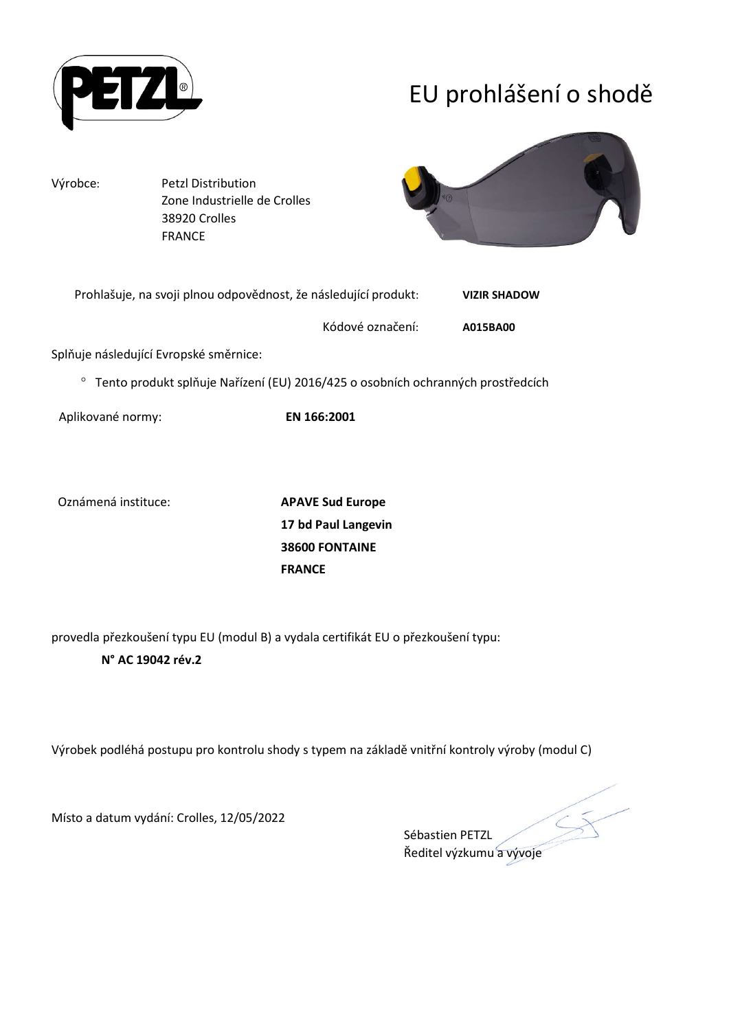

# EU prohlášení o shodě

Výrobce: Petzl Distribution Zone Industrielle de Crolles 38920 Crolles FRANCE



| Prohlašuje, na svoji plnou odpovědnost, že následující produkt: | <b>VIZIR SHADOW</b> |
|-----------------------------------------------------------------|---------------------|
|                                                                 |                     |

Kódové označení: A015BA00

Splňuje následující Evropské směrnice:

Tento produkt splňuje Nařízení (EU) 2016/425 o osobních ochranných prostředcích

Aplikované normy: EN 166:2001

Oznámená instituce: APAVE Sud Europe

17 bd Paul Langevin 38600 FONTAINE FRANCE

provedla přezkoušení typu EU (modul B) a vydala certifikát EU o přezkoušení typu: N° AC 19042 rév.2

Výrobek podléhá postupu pro kontrolu shody s typem na základě vnitřní kontroly výroby (modul C)

Místo a datum vydání: Crolles, 12/05/2022

Sébastien PETZL Ředitel výzkumu a vývoje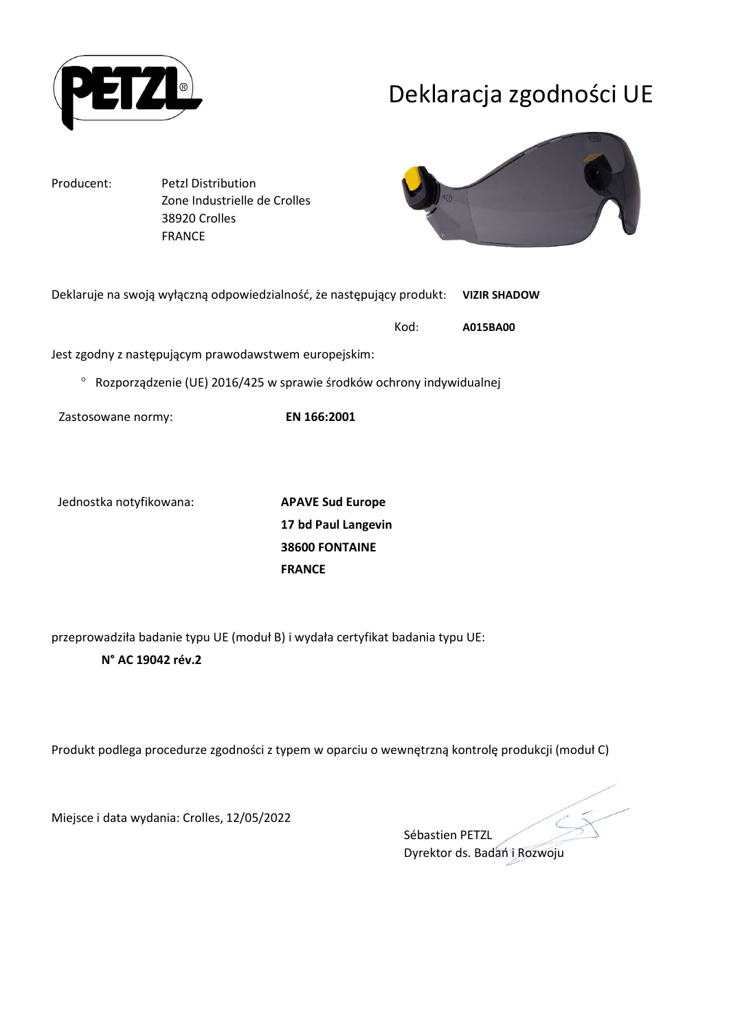

## Deklaracja zgodności UE

Producent: Petzl Distribution Zone Industrielle de Crolles 38920 Crolles FRANCE



| Deklaruje na swoją wyłączną odpowiedzialność, że następujący produkt: VIZIR SHADOW |  |          |
|------------------------------------------------------------------------------------|--|----------|
| Kod:                                                                               |  | A015BA00 |

Jest zgodny z następującym prawodawstwem europejskim:

 $\degree$  Rozporządzenie (UE) 2016/425 w sprawie środków ochrony indywidualnej

Zastosowane normy: EN 166:2001

Jednostka notyfikowana: APAVE Sud Europe

17 bd Paul Langevin 38600 FONTAINE FRANCE

przeprowadziła badanie typu UE (moduł B) i wydała certyfikat badania typu UE:

### N° AC 19042 rév.2

Produkt podlega procedurze zgodności z typem w oparciu o wewnętrzną kontrolę produkcji (moduł C)

Miejsce i data wydania: Crolles, 12/05/2022

Sébastien PETZL Dyrektor ds. Badań i Rozwoju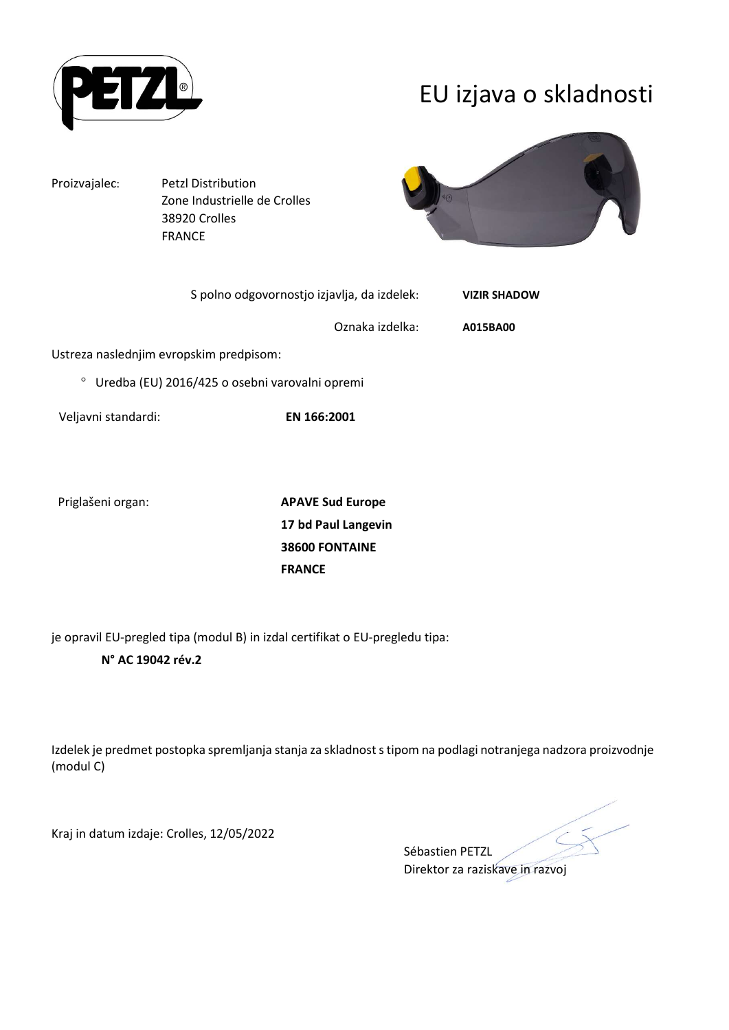

## EU izjava o skladnosti

Proizvajalec: Petzl Distribution

 Zone Industrielle de Crolles 38920 Crolles FRANCE



|                                         | S polno odgovornostjo izjavlja, da izdelek:    |                 | <b>VIZIR SHADOW</b> |
|-----------------------------------------|------------------------------------------------|-----------------|---------------------|
|                                         |                                                | Oznaka izdelka: | A015BA00            |
| Ustreza naslednjim evropskim predpisom: |                                                |                 |                     |
| $\circ$                                 | Uredba (EU) 2016/425 o osebni varovalni opremi |                 |                     |
|                                         |                                                |                 |                     |

Veljavni standardi: EN 166:2001

Priglašeni organ: APAVE Sud Europe

17 bd Paul Langevin 38600 FONTAINE FRANCE

je opravil EU-pregled tipa (modul B) in izdal certifikat o EU-pregledu tipa:

### N° AC 19042 rév.2

Izdelek je predmet postopka spremljanja stanja za skladnost s tipom na podlagi notranjega nadzora proizvodnje (modul C)

Kraj in datum izdaje: Crolles, 12/05/2022

Sébastien PETZL Direktor za raziskave in razvoj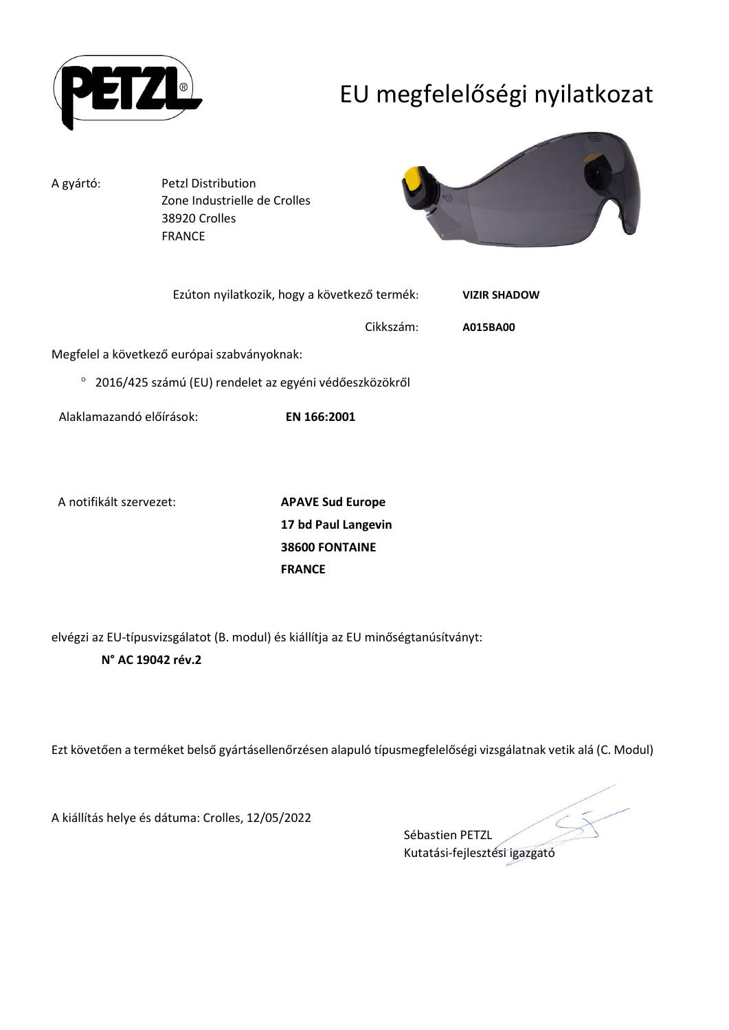

# EU megfelelőségi nyilatkozat

A gyártó: Petzl Distribution

 Zone Industrielle de Crolles 38920 Crolles FRANCE



| Ezúton nyilatkozik, hogy a következő termék:           |           | <b>VIZIR SHADOW</b> |
|--------------------------------------------------------|-----------|---------------------|
|                                                        | Cikkszám: | A015BA00            |
| Megfelel a következő európai szabványoknak:            |           |                     |
| 2016/425 számú (EU) rendelet az egyéni védőeszközökről |           |                     |

Alaklamazandó előírások: EN 166:2001

A notifikált szervezet: APAVE Sud Europe

17 bd Paul Langevin 38600 FONTAINE FRANCE

elvégzi az EU-típusvizsgálatot (B. modul) és kiállítja az EU minőségtanúsítványt: N° AC 19042 rév.2

Ezt követően a terméket belső gyártásellenőrzésen alapuló típusmegfelelőségi vizsgálatnak vetik alá (C. Modul)

A kiállítás helye és dátuma: Crolles, 12/05/2022

Sébastien PETZL Kutatási-fejlesztési igazgató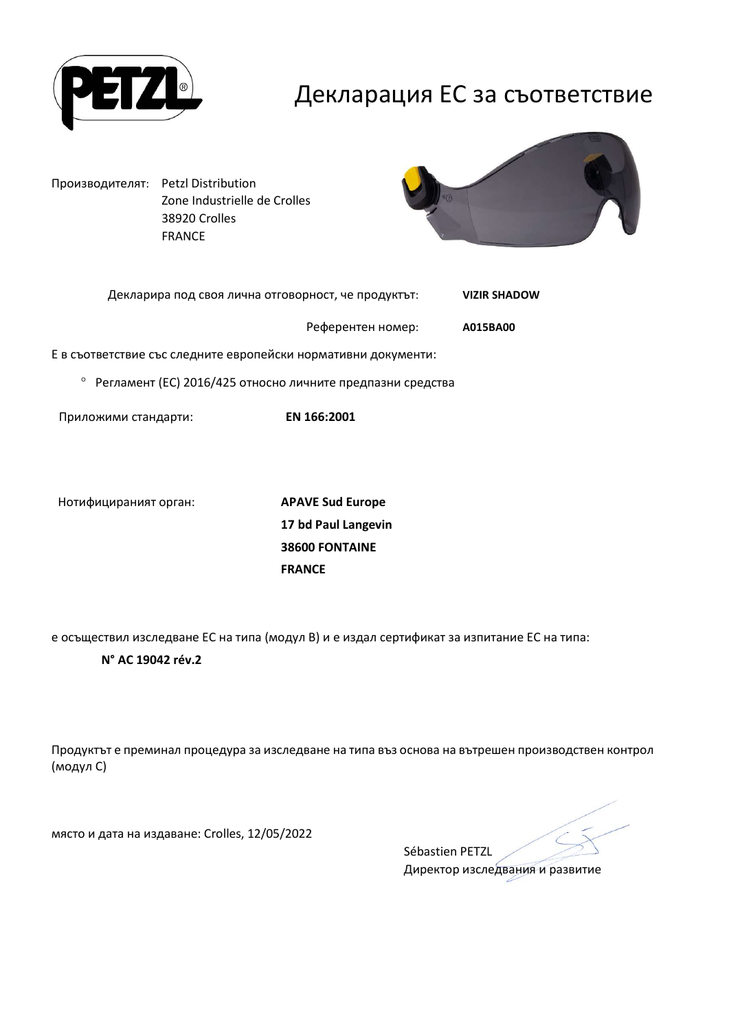

## Декларация ЕС за съответствие

Производителят: Petzl Distribution Zone Industrielle de Crolles 38920 Crolles FRANCE



| Декларира под своя лична отговорност, че продуктът: | <b>VIZIR SHADOW</b> |
|-----------------------------------------------------|---------------------|
|                                                     |                     |

Референтен номер: A015BA00

Е в съответствие със следните европейски нормативни документи:

Регламент (ЕС) 2016/425 относно личните предпазни средства

Приложими стандарти: EN 166:2001

Нотифицираният орган: APAVE Sud Europe

17 bd Paul Langevin 38600 FONTAINE FRANCE

е осъществил изследване ЕС на типа (модул В) и е издал сертификат за изпитание ЕС на типа:

#### N° AC 19042 rév.2

Продуктът е преминал процедура за изследване на типа въз основа на вътрешен производствен контрол (модул С)

място и дата на издаване: Crolles, 12/05/2022

Sébastien PETZL Директор изследвания и развитие